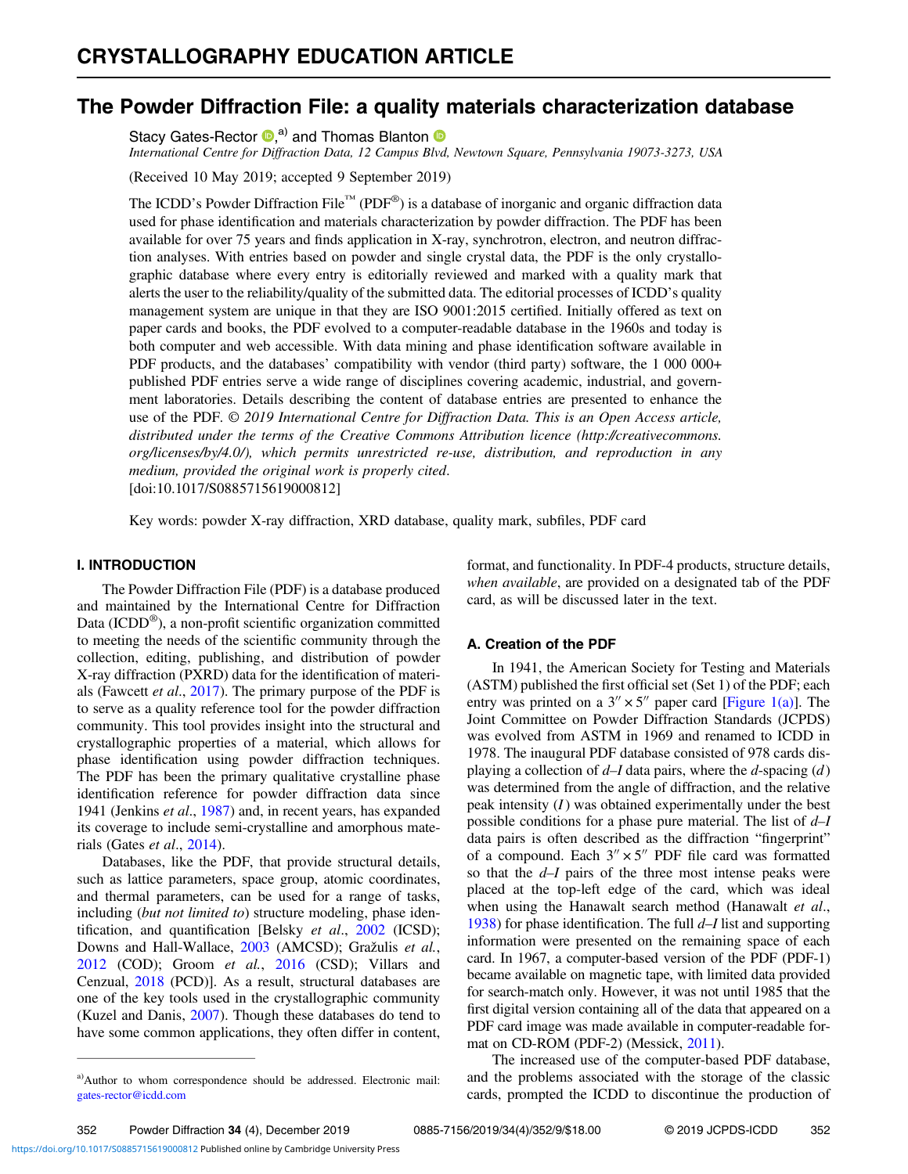# The Powder Diffraction File: a quality materials characterization database

Stacy Gates-Rector <sup>(D[,](https://orcid.org/0000-0002-8256-5990)a)</sup> and Thomas Blanton

International Centre for Diffraction Data, 12 Campus Blvd, Newtown Square, Pennsylvania 19073-3273, USA

(Received 10 May 2019; accepted 9 September 2019)

The ICDD's Powder Diffraction File™ (PDF®) is a database of inorganic and organic diffraction data used for phase identification and materials characterization by powder diffraction. The PDF has been available for over 75 years and finds application in X-ray, synchrotron, electron, and neutron diffraction analyses. With entries based on powder and single crystal data, the PDF is the only crystallographic database where every entry is editorially reviewed and marked with a quality mark that alerts the user to the reliability/quality of the submitted data. The editorial processes of ICDD's quality management system are unique in that they are ISO 9001:2015 certified. Initially offered as text on paper cards and books, the PDF evolved to a computer-readable database in the 1960s and today is both computer and web accessible. With data mining and phase identification software available in PDF products, and the databases' compatibility with vendor (third party) software, the 1 000 000+ published PDF entries serve a wide range of disciplines covering academic, industrial, and government laboratories. Details describing the content of database entries are presented to enhance the use of the PDF. © 2019 International Centre for Diffraction Data. This is an Open Access article, distributed under the terms of the Creative Commons Attribution licence (http://creativecommons. org/licenses/by/4.0/), which permits unrestricted re-use, distribution, and reproduction in any medium, provided the original work is properly cited. [doi:10.1017/S0885715619000812]

Key words: powder X-ray diffraction, XRD database, quality mark, subfiles, PDF card

# I. INTRODUCTION

The Powder Diffraction File (PDF) is a database produced and maintained by the International Centre for Diffraction Data (ICDD<sup>®</sup>), a non-profit scientific organization committed to meeting the needs of the scientific community through the collection, editing, publishing, and distribution of powder X-ray diffraction (PXRD) data for the identification of materials (Fawcett *et al.*,  $2017$ ). The primary purpose of the PDF is to serve as a quality reference tool for the powder diffraction community. This tool provides insight into the structural and crystallographic properties of a material, which allows for phase identification using powder diffraction techniques. The PDF has been the primary qualitative crystalline phase identification reference for powder diffraction data since 1941 (Jenkins et al., [1987](#page-8-0)) and, in recent years, has expanded its coverage to include semi-crystalline and amorphous materials (Gates et al., [2014](#page-8-0)).

Databases, like the PDF, that provide structural details, such as lattice parameters, space group, atomic coordinates, and thermal parameters, can be used for a range of tasks, including (but not limited to) structure modeling, phase identification, and quantification [Belsky et al., [2002](#page-8-0) (ICSD); Downs and Hall-Wallace, [2003](#page-8-0) (AMCSD); Gražulis et al., [2012](#page-8-0) (COD); Groom et al., [2016](#page-8-0) (CSD); Villars and Cenzual, [2018](#page-8-0) (PCD)]. As a result, structural databases are one of the key tools used in the crystallographic community (Kuzel and Danis, [2007](#page-8-0)). Though these databases do tend to have some common applications, they often differ in content, format, and functionality. In PDF-4 products, structure details, when available, are provided on a designated tab of the PDF card, as will be discussed later in the text.

#### A. Creation of the PDF

In 1941, the American Society for Testing and Materials (ASTM) published the first official set (Set 1) of the PDF; each entry was printed on a  $3'' \times 5''$  paper card [\[Figure 1\(a\)](#page-1-0)]. The Joint Committee on Powder Diffraction Standards (JCPDS) was evolved from ASTM in 1969 and renamed to ICDD in 1978. The inaugural PDF database consisted of 978 cards displaying a collection of  $d-I$  data pairs, where the d-spacing  $(d)$ was determined from the angle of diffraction, and the relative peak intensity  $(I)$  was obtained experimentally under the best possible conditions for a phase pure material. The list of  $d-I$ data pairs is often described as the diffraction "fingerprint" of a compound. Each  $3'' \times 5''$  PDF file card was formatted so that the  $d-I$  pairs of the three most intense peaks were placed at the top-left edge of the card, which was ideal when using the Hanawalt search method (Hanawalt *et al.*, [1938\)](#page-8-0) for phase identification. The full  $d-I$  list and supporting information were presented on the remaining space of each card. In 1967, a computer-based version of the PDF (PDF-1) became available on magnetic tape, with limited data provided for search-match only. However, it was not until 1985 that the first digital version containing all of the data that appeared on a PDF card image was made available in computer-readable format on CD-ROM (PDF-2) (Messick, [2011](#page-8-0)).

The increased use of the computer-based PDF database, and the problems associated with the storage of the classic cards, prompted the ICDD to discontinue the production of

<sup>&</sup>lt;sup>a)</sup>Author to whom correspondence should be addressed. Electronic mail: [gates-rector@icdd.com](mailto:gates-rector@icdd.com)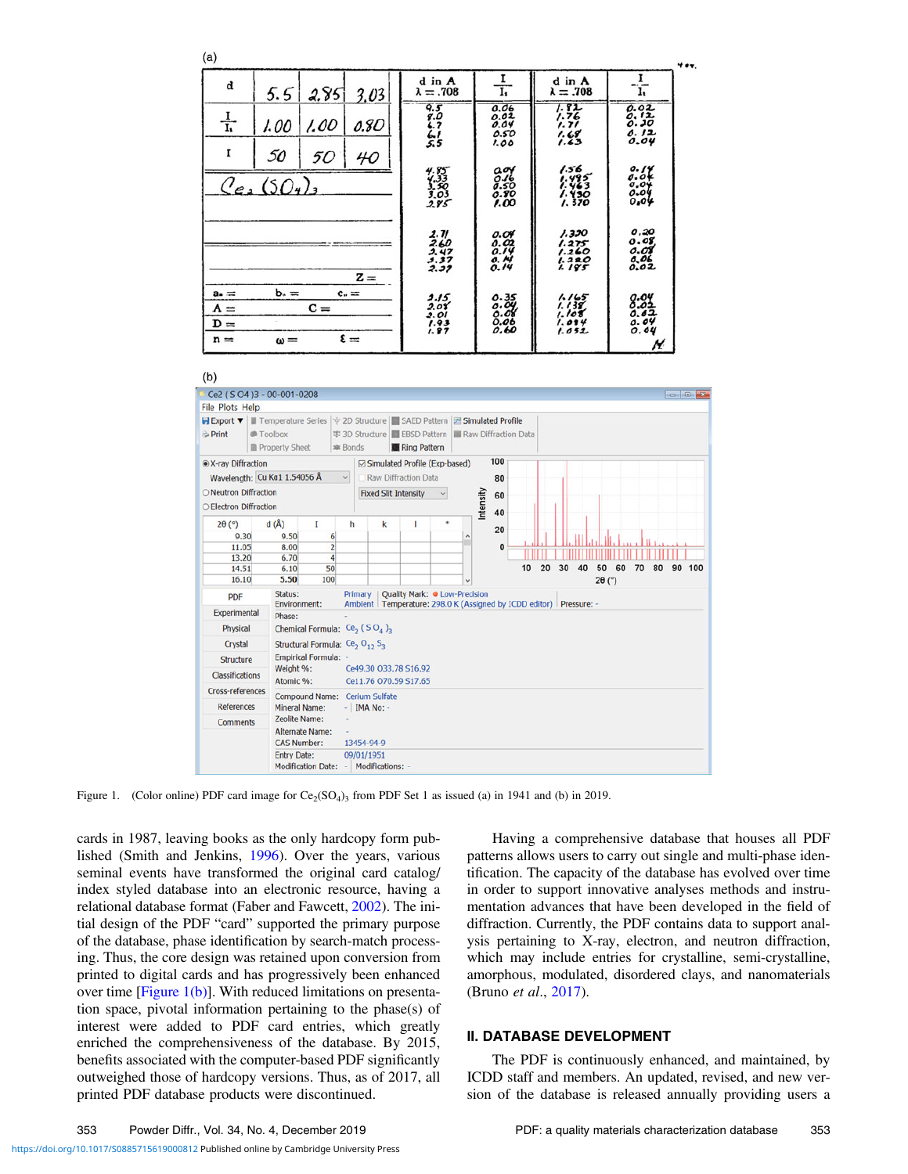<span id="page-1-0"></span>

| $\sim$                                                                                         |                                    |                                  |                                       | 404.                              |
|------------------------------------------------------------------------------------------------|------------------------------------|----------------------------------|---------------------------------------|-----------------------------------|
| d<br>2.85<br>5.5<br>3.03                                                                       | d in A<br>$\lambda = .708$         | $\frac{I}{I_1}$                  | d in A<br>$\lambda = .708$            | $-\frac{1}{1}$                    |
| $\frac{I}{I}$<br>1.00<br>0.80<br>1.00                                                          | 9.5<br>8.0<br>6.7<br>5.5           | 0.06<br>0.02<br>0.50<br>1.00     | 1.82<br>7.76<br>1.71<br>1.69          | 0.02<br>0.12<br>0.12<br>0.04      |
| г<br>50<br>50<br>40<br>$Ce4 (5O4)3$                                                            | $7.85$<br>$3.80$<br>$3.03$<br>2.85 | $\frac{8}{0.50}$<br>0.50<br>1.00 | 1.56<br>$7.989$<br>$7.980$<br>$7.890$ | o. 14<br>0.04<br>0.04<br>0.04     |
| $z =$                                                                                          | 2.71<br>$2.60$<br>$3.37$<br>$2.37$ | 0.O4<br>0.02<br>0.74             | 1.320<br>1.275<br>1.260<br>1.380      | 0.20<br>0.08<br>0.08<br>0.06      |
| $b_n =$<br>$c. =$<br>$a =$<br>$A =$<br>$C =$<br>$\mathbf{D} =$<br>$=$ 3<br>$n =$<br>$\omega =$ | 9.15<br>2.08<br>2.01<br>1.93       | 0.35<br>0.08<br>0.60             | 1.165<br>1.138<br>1.014<br>1.052      | 8.04<br>0.62<br>0.04<br>0.04<br>K |





Figure 1. (Color online) PDF card image for  $Ce_2(SO_4)_3$  from PDF Set 1 as issued (a) in 1941 and (b) in 2019.

cards in 1987, leaving books as the only hardcopy form published (Smith and Jenkins, [1996](#page-8-0)). Over the years, various seminal events have transformed the original card catalog/ index styled database into an electronic resource, having a relational database format (Faber and Fawcett, [2002](#page-8-0)). The initial design of the PDF "card" supported the primary purpose of the database, phase identification by search-match processing. Thus, the core design was retained upon conversion from printed to digital cards and has progressively been enhanced over time [Figure 1(b)]. With reduced limitations on presentation space, pivotal information pertaining to the phase(s) of interest were added to PDF card entries, which greatly enriched the comprehensiveness of the database. By 2015, benefits associated with the computer-based PDF significantly outweighed those of hardcopy versions. Thus, as of 2017, all printed PDF database products were discontinued.

Having a comprehensive database that houses all PDF patterns allows users to carry out single and multi-phase identification. The capacity of the database has evolved over time in order to support innovative analyses methods and instrumentation advances that have been developed in the field of diffraction. Currently, the PDF contains data to support analysis pertaining to X-ray, electron, and neutron diffraction, which may include entries for crystalline, semi-crystalline, amorphous, modulated, disordered clays, and nanomaterials (Bruno et al., [2017\)](#page-8-0).

#### II. DATABASE DEVELOPMENT

The PDF is continuously enhanced, and maintained, by ICDD staff and members. An updated, revised, and new version of the database is released annually providing users a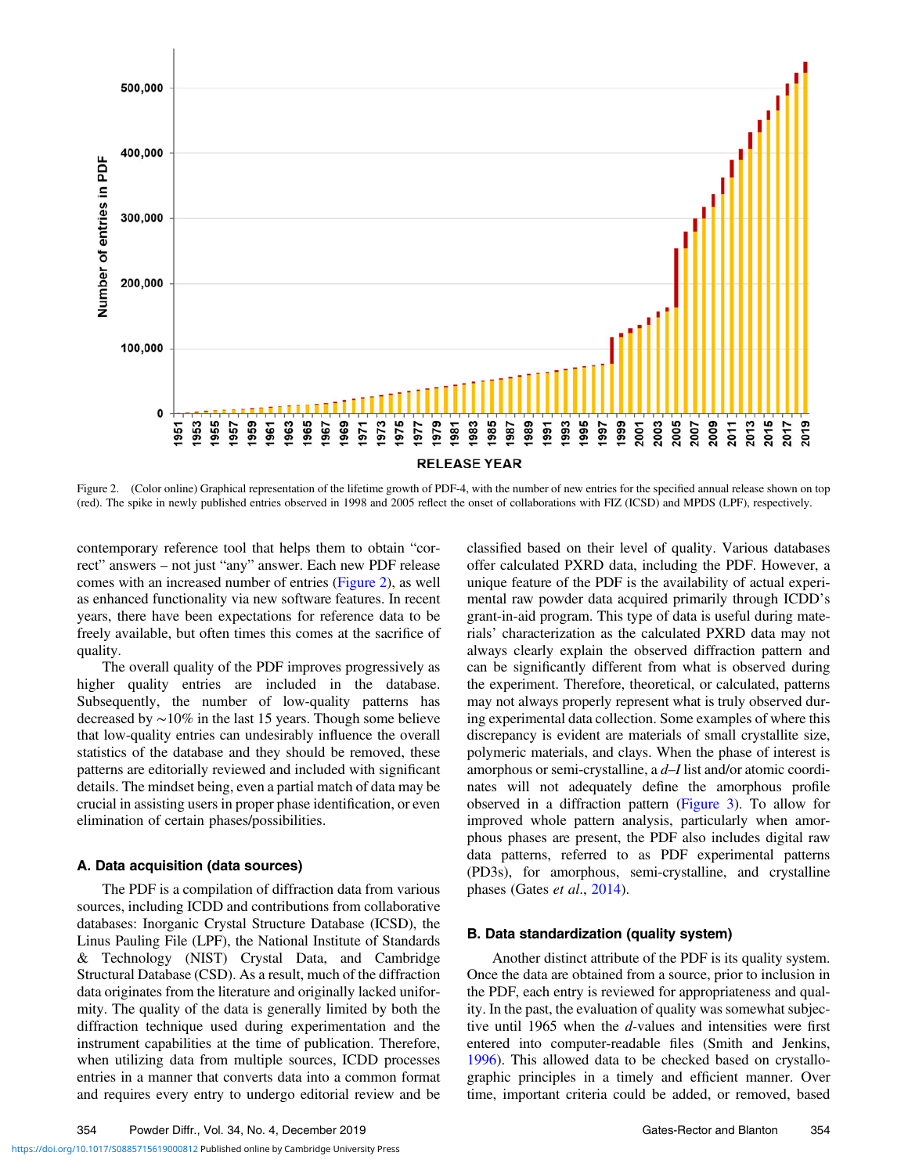

Figure 2. (Color online) Graphical representation of the lifetime growth of PDF-4, with the number of new entries for the specified annual release shown on top (red). The spike in newly published entries observed in 1998 and 2005 reflect the onset of collaborations with FIZ (ICSD) and MPDS (LPF), respectively.

contemporary reference tool that helps them to obtain "correct" answers – not just "any" answer. Each new PDF release comes with an increased number of entries (Figure 2), as well as enhanced functionality via new software features. In recent years, there have been expectations for reference data to be freely available, but often times this comes at the sacrifice of quality.

The overall quality of the PDF improves progressively as higher quality entries are included in the database. Subsequently, the number of low-quality patterns has decreased by ∼10% in the last 15 years. Though some believe that low-quality entries can undesirably influence the overall statistics of the database and they should be removed, these patterns are editorially reviewed and included with significant details. The mindset being, even a partial match of data may be crucial in assisting users in proper phase identification, or even elimination of certain phases/possibilities.

### A. Data acquisition (data sources)

The PDF is a compilation of diffraction data from various sources, including ICDD and contributions from collaborative databases: Inorganic Crystal Structure Database (ICSD), the Linus Pauling File (LPF), the National Institute of Standards & Technology (NIST) Crystal Data, and Cambridge Structural Database (CSD). As a result, much of the diffraction data originates from the literature and originally lacked uniformity. The quality of the data is generally limited by both the diffraction technique used during experimentation and the instrument capabilities at the time of publication. Therefore, when utilizing data from multiple sources, ICDD processes entries in a manner that converts data into a common format and requires every entry to undergo editorial review and be classified based on their level of quality. Various databases offer calculated PXRD data, including the PDF. However, a unique feature of the PDF is the availability of actual experimental raw powder data acquired primarily through ICDD's grant-in-aid program. This type of data is useful during materials' characterization as the calculated PXRD data may not always clearly explain the observed diffraction pattern and can be significantly different from what is observed during the experiment. Therefore, theoretical, or calculated, patterns may not always properly represent what is truly observed during experimental data collection. Some examples of where this discrepancy is evident are materials of small crystallite size, polymeric materials, and clays. When the phase of interest is amorphous or semi-crystalline, a d–I list and/or atomic coordinates will not adequately define the amorphous profile observed in a diffraction pattern [\(Figure 3](#page-3-0)). To allow for improved whole pattern analysis, particularly when amorphous phases are present, the PDF also includes digital raw data patterns, referred to as PDF experimental patterns (PD3s), for amorphous, semi-crystalline, and crystalline phases (Gates et al., [2014\)](#page-8-0).

#### B. Data standardization (quality system)

Another distinct attribute of the PDF is its quality system. Once the data are obtained from a source, prior to inclusion in the PDF, each entry is reviewed for appropriateness and quality. In the past, the evaluation of quality was somewhat subjective until 1965 when the d-values and intensities were first entered into computer-readable files (Smith and Jenkins, [1996\)](#page-8-0). This allowed data to be checked based on crystallographic principles in a timely and efficient manner. Over time, important criteria could be added, or removed, based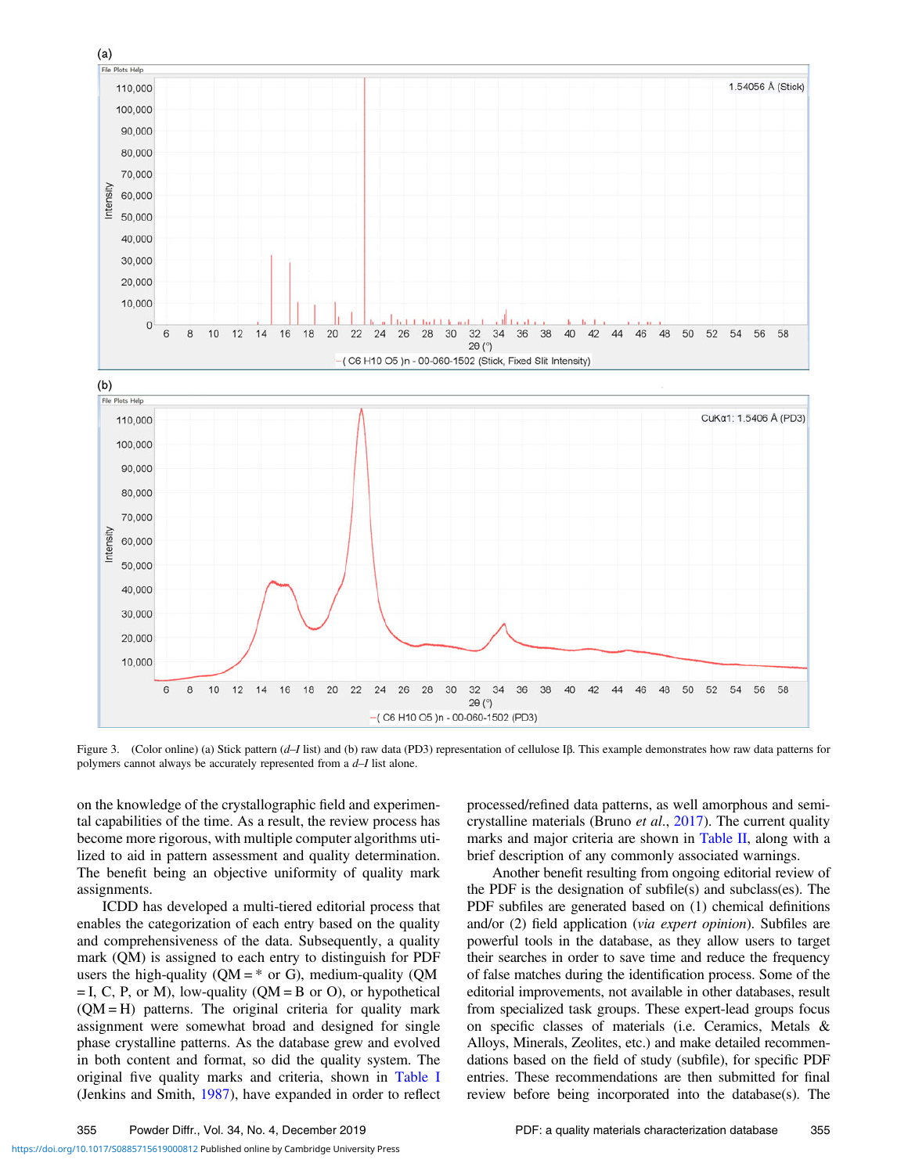<span id="page-3-0"></span>

Figure 3. (Color online) (a) Stick pattern (d–I list) and (b) raw data (PD3) representation of cellulose Iβ. This example demonstrates how raw data patterns for polymers cannot always be accurately represented from a  $d-I$  list alone.

on the knowledge of the crystallographic field and experimental capabilities of the time. As a result, the review process has become more rigorous, with multiple computer algorithms utilized to aid in pattern assessment and quality determination. The benefit being an objective uniformity of quality mark assignments.

ICDD has developed a multi-tiered editorial process that enables the categorization of each entry based on the quality and comprehensiveness of the data. Subsequently, a quality mark (QM) is assigned to each entry to distinguish for PDF users the high-quality ( $QM = *$  or G), medium-quality ( $QM$  $=$  I, C, P, or M), low-quality (QM  $=$  B or O), or hypothetical  $(QM = H)$  patterns. The original criteria for quality mark assignment were somewhat broad and designed for single phase crystalline patterns. As the database grew and evolved in both content and format, so did the quality system. The original five quality marks and criteria, shown in [Table I](#page-4-0) (Jenkins and Smith, [1987](#page-8-0)), have expanded in order to reflect processed/refined data patterns, as well amorphous and semicrystalline materials (Bruno et al., [2017\)](#page-8-0). The current quality marks and major criteria are shown in [Table II,](#page-4-0) along with a brief description of any commonly associated warnings.

Another benefit resulting from ongoing editorial review of the PDF is the designation of subfile(s) and subclass(es). The PDF subfiles are generated based on (1) chemical definitions and/or (2) field application (via expert opinion). Subfiles are powerful tools in the database, as they allow users to target their searches in order to save time and reduce the frequency of false matches during the identification process. Some of the editorial improvements, not available in other databases, result from specialized task groups. These expert-lead groups focus on specific classes of materials (i.e. Ceramics, Metals & Alloys, Minerals, Zeolites, etc.) and make detailed recommendations based on the field of study (subfile), for specific PDF entries. These recommendations are then submitted for final review before being incorporated into the database(s). The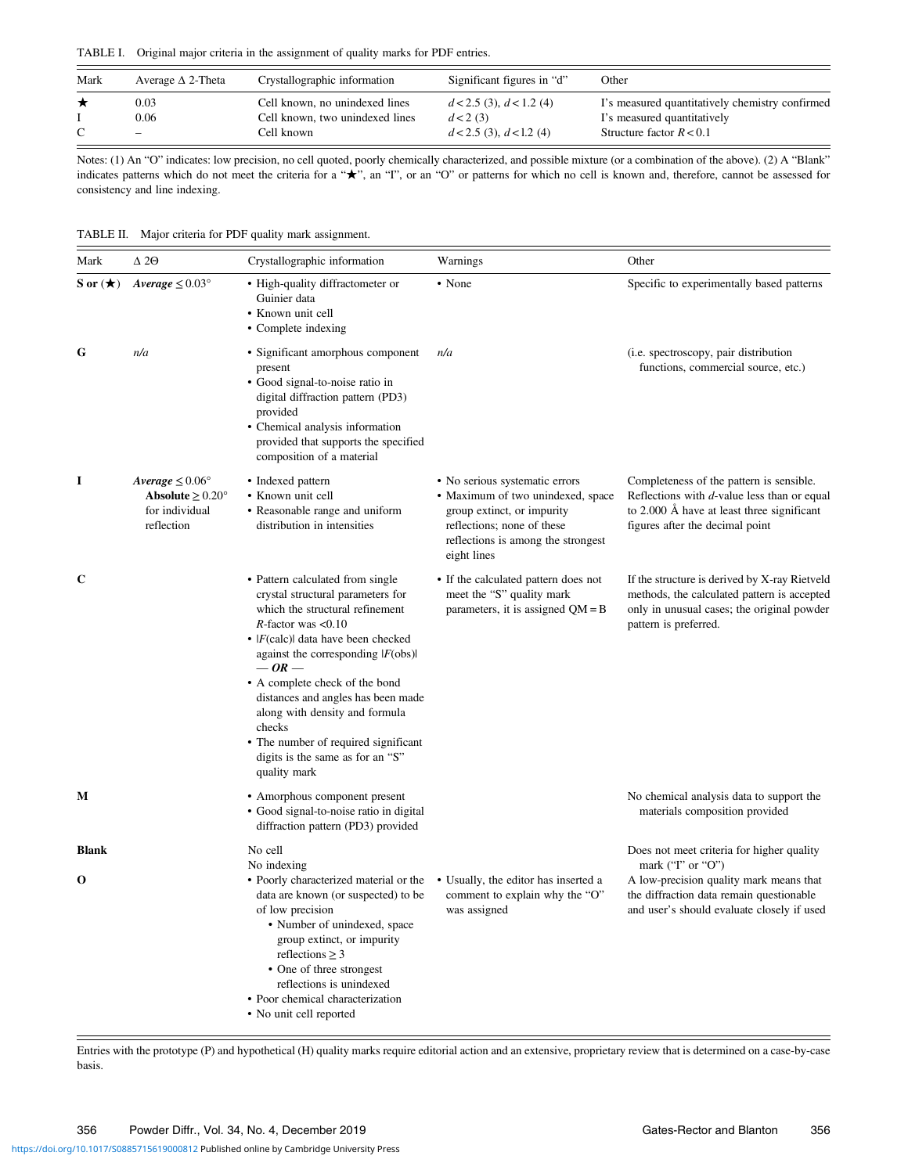<span id="page-4-0"></span>TABLE I. Original major criteria in the assignment of quality marks for PDF entries.

| Mark<br>Average $\Delta$ 2-Theta |                          | Crystallographic information    | Significant figures in "d"   | Other                                           |
|----------------------------------|--------------------------|---------------------------------|------------------------------|-------------------------------------------------|
|                                  | 0.03                     | Cell known, no unindexed lines  | $d < 2.5$ (3), $d < 1.2$ (4) | I's measured quantitatively chemistry confirmed |
|                                  | 0.06                     | Cell known, two unindexed lines | d < 2(3)                     | I's measured quantitatively                     |
| C                                | $\overline{\phantom{0}}$ | Cell known                      | $d < 2.5$ (3), $d < 1.2$ (4) | Structure factor $R < 0.1$                      |

Notes: (1) An "O" indicates: low precision, no cell quoted, poorly chemically characterized, and possible mixture (or a combination of the above). (2) A "Blank" indicates patterns which do not meet the criteria for a "★", an "I", or an "O" or patterns for which no cell is known and, therefore, cannot be assessed for consistency and line indexing.

TABLE II. Major criteria for PDF quality mark assignment.

| Mark              | $\Delta 2\Theta$                                                                            | Crystallographic information                                                                                                                                                                                                                                                                                                                                                                                                                                     | Warnings                                                                                                                                                                             | Other                                                                                                                                                                       |
|-------------------|---------------------------------------------------------------------------------------------|------------------------------------------------------------------------------------------------------------------------------------------------------------------------------------------------------------------------------------------------------------------------------------------------------------------------------------------------------------------------------------------------------------------------------------------------------------------|--------------------------------------------------------------------------------------------------------------------------------------------------------------------------------------|-----------------------------------------------------------------------------------------------------------------------------------------------------------------------------|
| S or $(\bigstar)$ | Average $\leq 0.03^{\circ}$                                                                 | • High-quality diffractometer or<br>Guinier data<br>• Known unit cell<br>• Complete indexing                                                                                                                                                                                                                                                                                                                                                                     | • None                                                                                                                                                                               | Specific to experimentally based patterns                                                                                                                                   |
| G                 | n/a                                                                                         | • Significant amorphous component<br>present<br>· Good signal-to-noise ratio in<br>digital diffraction pattern (PD3)<br>provided<br>• Chemical analysis information<br>provided that supports the specified<br>composition of a material                                                                                                                                                                                                                         | n/a                                                                                                                                                                                  | (i.e. spectroscopy, pair distribution<br>functions, commercial source, etc.)                                                                                                |
| I                 | Average $\leq 0.06^{\circ}$<br>Absolute $\geq 0.20^{\circ}$<br>for individual<br>reflection | • Indexed pattern<br>• Known unit cell<br>• Reasonable range and uniform<br>distribution in intensities                                                                                                                                                                                                                                                                                                                                                          | • No serious systematic errors<br>• Maximum of two unindexed, space<br>group extinct, or impurity<br>reflections; none of these<br>reflections is among the strongest<br>eight lines | Completeness of the pattern is sensible.<br>Reflections with $d$ -value less than or equal<br>to 2.000 Å have at least three significant<br>figures after the decimal point |
| C                 |                                                                                             | • Pattern calculated from single<br>crystal structural parameters for<br>which the structural refinement<br>$R$ -factor was < $0.10$<br>• $ F(\text{calc}) $ data have been checked<br>against the corresponding $ F(\text{obs}) $<br>$-$ OR $-$<br>• A complete check of the bond<br>distances and angles has been made<br>along with density and formula<br>checks<br>• The number of required significant<br>digits is the same as for an "S"<br>quality mark | • If the calculated pattern does not<br>meet the "S" quality mark<br>parameters, it is assigned $QM = B$                                                                             | If the structure is derived by X-ray Rietveld<br>methods, the calculated pattern is accepted<br>only in unusual cases; the original powder<br>pattern is preferred.         |
| М                 |                                                                                             | • Amorphous component present<br>· Good signal-to-noise ratio in digital<br>diffraction pattern (PD3) provided                                                                                                                                                                                                                                                                                                                                                   |                                                                                                                                                                                      | No chemical analysis data to support the<br>materials composition provided                                                                                                  |
| Blank             |                                                                                             | No cell<br>No indexing                                                                                                                                                                                                                                                                                                                                                                                                                                           |                                                                                                                                                                                      | Does not meet criteria for higher quality<br>mark ("I" or "O")                                                                                                              |
| О                 |                                                                                             | • Poorly characterized material or the<br>data are known (or suspected) to be<br>of low precision<br>• Number of unindexed, space<br>group extinct, or impurity<br>reflections $\geq$ 3<br>• One of three strongest<br>reflections is unindexed<br>• Poor chemical characterization<br>• No unit cell reported                                                                                                                                                   | • Usually, the editor has inserted a<br>comment to explain why the "O"<br>was assigned                                                                                               | A low-precision quality mark means that<br>the diffraction data remain questionable<br>and user's should evaluate closely if used                                           |

Entries with the prototype (P) and hypothetical (H) quality marks require editorial action and an extensive, proprietary review that is determined on a case-by-case basis.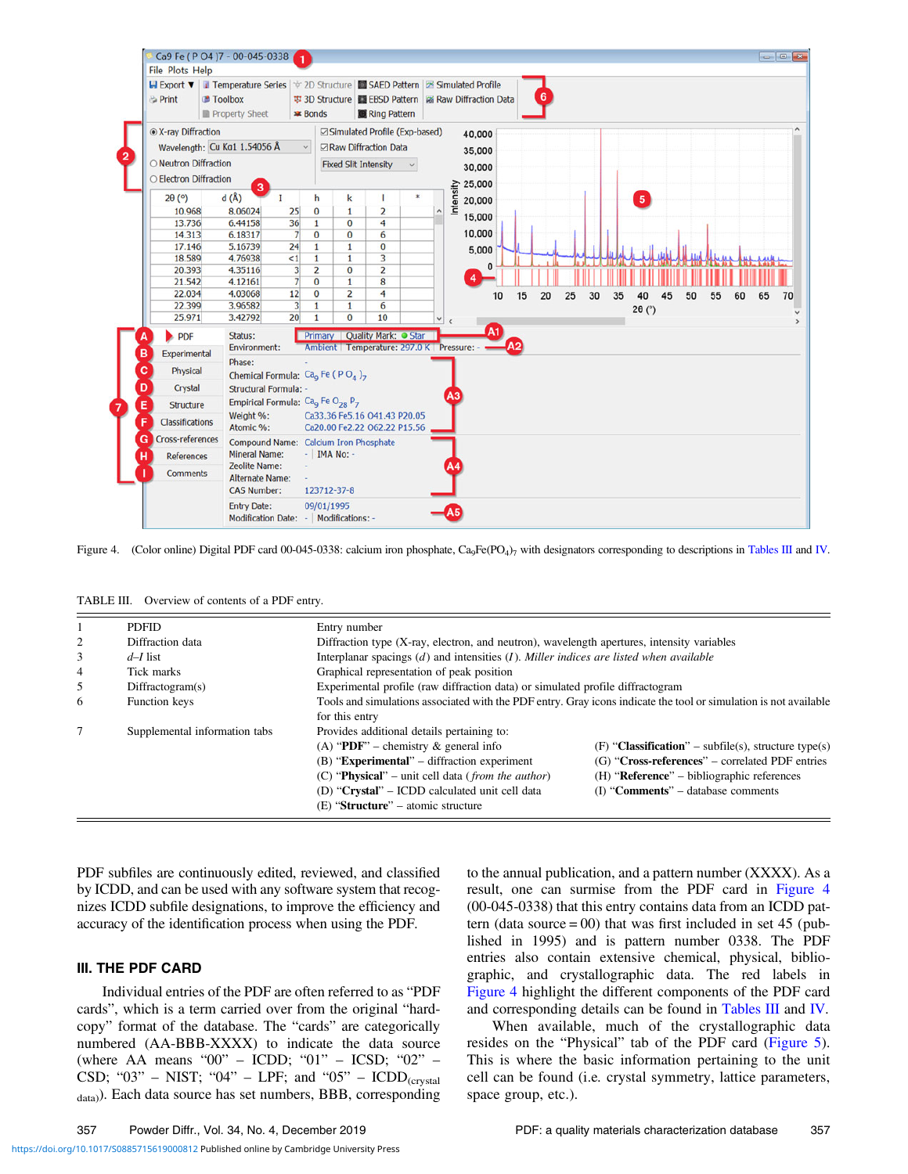<span id="page-5-0"></span>

Figure 4. (Color online) Digital PDF card 00-045-0338: calcium iron phosphate,  $Ca_9Fe(PO_4)_7$  with designators corresponding to descriptions in Tables III and [IV](#page-6-0).

TABLE III. Overview of contents of a PDF entry.

|                | <b>PDFID</b>                  | Entry number                                                                                                     |                                                      |
|----------------|-------------------------------|------------------------------------------------------------------------------------------------------------------|------------------------------------------------------|
| 2              | Diffraction data              | Diffraction type (X-ray, electron, and neutron), wavelength apertures, intensity variables                       |                                                      |
| 3              | $d-I$ list                    | Interplanar spacings $(d)$ and intensities $(I)$ . Miller indices are listed when available                      |                                                      |
| $\overline{4}$ | Tick marks                    | Graphical representation of peak position                                                                        |                                                      |
| 5              | Diffractiongram(s)            | Experimental profile (raw diffraction data) or simulated profile diffractogram                                   |                                                      |
| 6              | Function keys                 | Tools and simulations associated with the PDF entry. Gray icons indicate the tool or simulation is not available |                                                      |
|                |                               | for this entry                                                                                                   |                                                      |
| 7              | Supplemental information tabs | Provides additional details pertaining to:                                                                       |                                                      |
|                |                               | (A) "PDF" – chemistry $\&$ general info                                                                          | (F) "Classification" – subfile(s), structure type(s) |
|                |                               | $(B)$ "Experimental" – diffraction experiment                                                                    | (G) "Cross-references" – correlated PDF entries      |
|                |                               | (C) "Physical" – unit cell data ( <i>from the author</i> )                                                       | $(H)$ "Reference" – bibliographic references         |
|                |                               | (D) "Crystal" – ICDD calculated unit cell data                                                                   | $(I)$ " <b>Comments</b> " – database comments        |
|                |                               | $(E)$ "Structure" – atomic structure                                                                             |                                                      |

PDF subfiles are continuously edited, reviewed, and classified by ICDD, and can be used with any software system that recognizes ICDD subfile designations, to improve the efficiency and accuracy of the identification process when using the PDF.

#### III. THE PDF CARD

Individual entries of the PDF are often referred to as "PDF cards", which is a term carried over from the original "hardcopy" format of the database. The "cards" are categorically numbered (AA-BBB-XXXX) to indicate the data source (where AA means "00" – ICDD; "01" – ICSD; "02" – CSD; " $03"$  – NIST; " $04"$  – LPF; and " $05"$  – ICDD<sub>(crystal</sub>) data)). Each data source has set numbers, BBB, corresponding to the annual publication, and a pattern number (XXXX). As a result, one can surmise from the PDF card in Figure 4 (00-045-0338) that this entry contains data from an ICDD pattern (data source  $= 00$ ) that was first included in set 45 (published in 1995) and is pattern number 0338. The PDF entries also contain extensive chemical, physical, bibliographic, and crystallographic data. The red labels in Figure 4 highlight the different components of the PDF card and corresponding details can be found in Tables III and [IV.](#page-6-0)

When available, much of the crystallographic data resides on the "Physical" tab of the PDF card ([Figure 5](#page-6-0)). This is where the basic information pertaining to the unit cell can be found (i.e. crystal symmetry, lattice parameters, space group, etc.).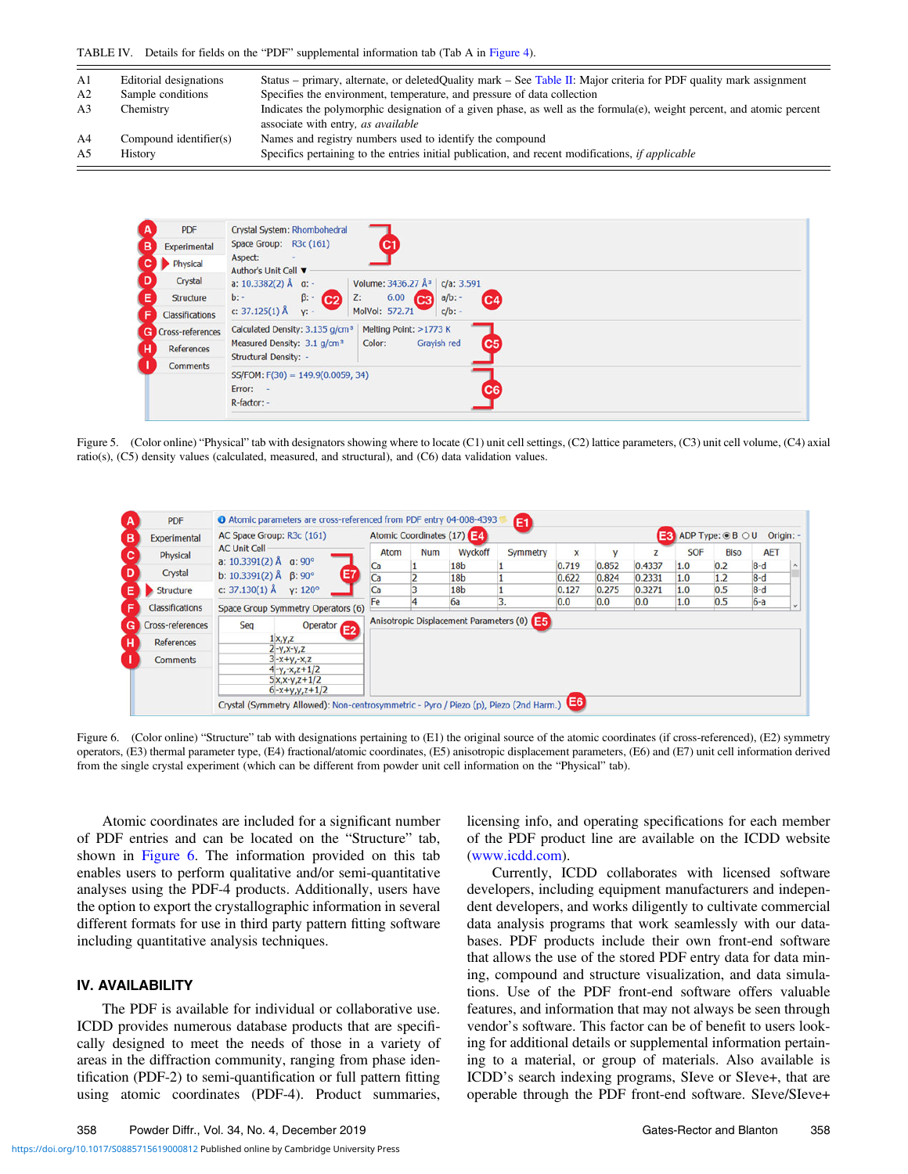<span id="page-6-0"></span>

| A1             | Editorial designations | Status – primary, alternate, or deletedQuality mark – See Table II: Major criteria for PDF quality mark assignment                                          |
|----------------|------------------------|-------------------------------------------------------------------------------------------------------------------------------------------------------------|
| A <sub>2</sub> | Sample conditions      | Specifies the environment, temperature, and pressure of data collection                                                                                     |
| A <sub>3</sub> | Chemistrv              | Indicates the polymorphic designation of a given phase, as well as the formula(e), weight percent, and atomic percent<br>associate with entry, as available |
| A4             | Compound identifier(s) | Names and registry numbers used to identify the compound                                                                                                    |
| A5             | History                | Specifics pertaining to the entries initial publication, and recent modifications, if applicable                                                            |

| <b>PDF</b>                   | Crystal System: Rhombohedral                                                                                       |
|------------------------------|--------------------------------------------------------------------------------------------------------------------|
| в<br><b>Experimental</b>     | Space Group: R3c (161)<br>C1                                                                                       |
| Physical                     | Aspect:<br>Author's Unit Cell ▼                                                                                    |
| Crystal                      | Volume: 3436.27 Å <sup>3</sup> c/a: 3.591<br>a: $10.3382(2)$ Å a: -                                                |
| Structure                    | $6.00$ $\bigodot$ $a/b$ : -<br>$\beta$ : $\mathbb{C}2$<br>Z:<br>C <sub>4</sub><br>$b: -$                           |
| <b>Classifications</b>       | MolVol: 572.71<br>c: $37.125(1)$ Å<br>$c/b$ : -<br>$V^*$ =                                                         |
| <b>Cross-references</b><br>G | Melting Point: >1773 K<br>Calculated Density: 3.135 g/cm <sup>3</sup>                                              |
| <b>References</b><br>н       | C <sub>5</sub><br>Grayish red<br>Color:<br>Measured Density: 3.1 g/cm <sup>3</sup><br><b>Structural Density: -</b> |
| <b>Comments</b>              |                                                                                                                    |
|                              | $SS/FORM: F(30) = 149.9(0.0059, 34)$<br>C6<br>Error: -<br>R-factor: -                                              |

Figure 5. (Color online) "Physical" tab with designators showing where to locate (C1) unit cell settings, (C2) lattice parameters, (C3) unit cell volume, (C4) axial ratio(s), (C5) density values (calculated, measured, and structural), and (C6) data validation values.

| <b>PDF</b>             |                           | Atomic parameters are cross-referenced from PDF entry 04-008-4393 |                                                                                                            |            |                 | ⊕                                       |              |       |        |            |             |            |  |
|------------------------|---------------------------|-------------------------------------------------------------------|------------------------------------------------------------------------------------------------------------|------------|-----------------|-----------------------------------------|--------------|-------|--------|------------|-------------|------------|--|
| <b>Experimental</b>    | AC Space Group: R3c (161) |                                                                   | Atomic Coordinates (17) 24<br>$\blacktriangle$ ADP Type: $\circledcirc$ B $\circlearrowright$ U<br>Origin: |            |                 |                                         |              |       |        |            |             |            |  |
| <b>Physical</b>        | <b>AC Unit Cell</b>       |                                                                   | Atom                                                                                                       | <b>Num</b> | Wyckoff         | Symmetry                                | $\mathbf{x}$ | v     |        | <b>SOF</b> | <b>Biso</b> | <b>AET</b> |  |
| Crystal                | a: $10.3391(2)$ Å         | $a: 90^{\circ}$                                                   | Ca                                                                                                         |            | 18 <sub>b</sub> |                                         | 0.719        | 0.852 | 0.4337 | 1.0        | 0.2         | $8-d$      |  |
|                        | b: $10.3391(2)$ Å         | E7<br>$B:90^\circ$                                                | Ca                                                                                                         |            | 18 <sub>b</sub> |                                         | 0.622        | 0.824 | 0.2331 | 1.0        | 1.2         | $8-d$      |  |
| <b>Structure</b>       | c: $37.130(1)$ Å          | v: 120°                                                           | Ca                                                                                                         |            | 18 <sub>b</sub> |                                         | 0.127        | 0.275 | 0.3271 | 1.0        | 0.5         | $8-d$      |  |
| <b>Classifications</b> |                           | Space Group Symmetry Operators (6)                                | Fe                                                                                                         |            | 6a              |                                         | 0.0          | 0.0   | 0.0    | 1.0        | 0.5         | $6-a$      |  |
|                        | Seq                       |                                                                   |                                                                                                            |            |                 |                                         |              |       |        |            |             |            |  |
| Cross-references       |                           |                                                                   |                                                                                                            |            |                 | Anisotropic Displacement Parameters (0) |              |       |        |            |             |            |  |
| <b>References</b>      | 1x, y, z                  | Operator E2                                                       |                                                                                                            |            |                 |                                         |              |       |        |            |             |            |  |
|                        |                           | $2-y, x-y, z$                                                     |                                                                                                            |            |                 |                                         |              |       |        |            |             |            |  |
| <b>Comments</b>        |                           | $3 - x + y, -x, z$<br>$4-y, -x, z+1/2$                            |                                                                                                            |            |                 |                                         |              |       |        |            |             |            |  |
|                        |                           | $5x, x-y, z+1/2$                                                  |                                                                                                            |            |                 |                                         |              |       |        |            |             |            |  |

Figure 6. (Color online) "Structure" tab with designations pertaining to (E1) the original source of the atomic coordinates (if cross-referenced), (E2) symmetry operators, (E3) thermal parameter type, (E4) fractional/atomic coordinates, (E5) anisotropic displacement parameters, (E6) and (E7) unit cell information derived from the single crystal experiment (which can be different from powder unit cell information on the "Physical" tab).

Atomic coordinates are included for a significant number of PDF entries and can be located on the "Structure" tab, shown in Figure 6. The information provided on this tab enables users to perform qualitative and/or semi-quantitative analyses using the PDF-4 products. Additionally, users have the option to export the crystallographic information in several different formats for use in third party pattern fitting software including quantitative analysis techniques.

#### IV. AVAILABILITY

The PDF is available for individual or collaborative use. ICDD provides numerous database products that are specifically designed to meet the needs of those in a variety of areas in the diffraction community, ranging from phase identification (PDF-2) to semi-quantification or full pattern fitting using atomic coordinates (PDF-4). Product summaries, licensing info, and operating specifications for each member of the PDF product line are available on the ICDD website [\(www.icdd.com\)](http://www.icdd.com).

Currently, ICDD collaborates with licensed software developers, including equipment manufacturers and independent developers, and works diligently to cultivate commercial data analysis programs that work seamlessly with our databases. PDF products include their own front-end software that allows the use of the stored PDF entry data for data mining, compound and structure visualization, and data simulations. Use of the PDF front-end software offers valuable features, and information that may not always be seen through vendor's software. This factor can be of benefit to users looking for additional details or supplemental information pertaining to a material, or group of materials. Also available is ICDD's search indexing programs, SIeve or SIeve+, that are operable through the PDF front-end software. SIeve/SIeve+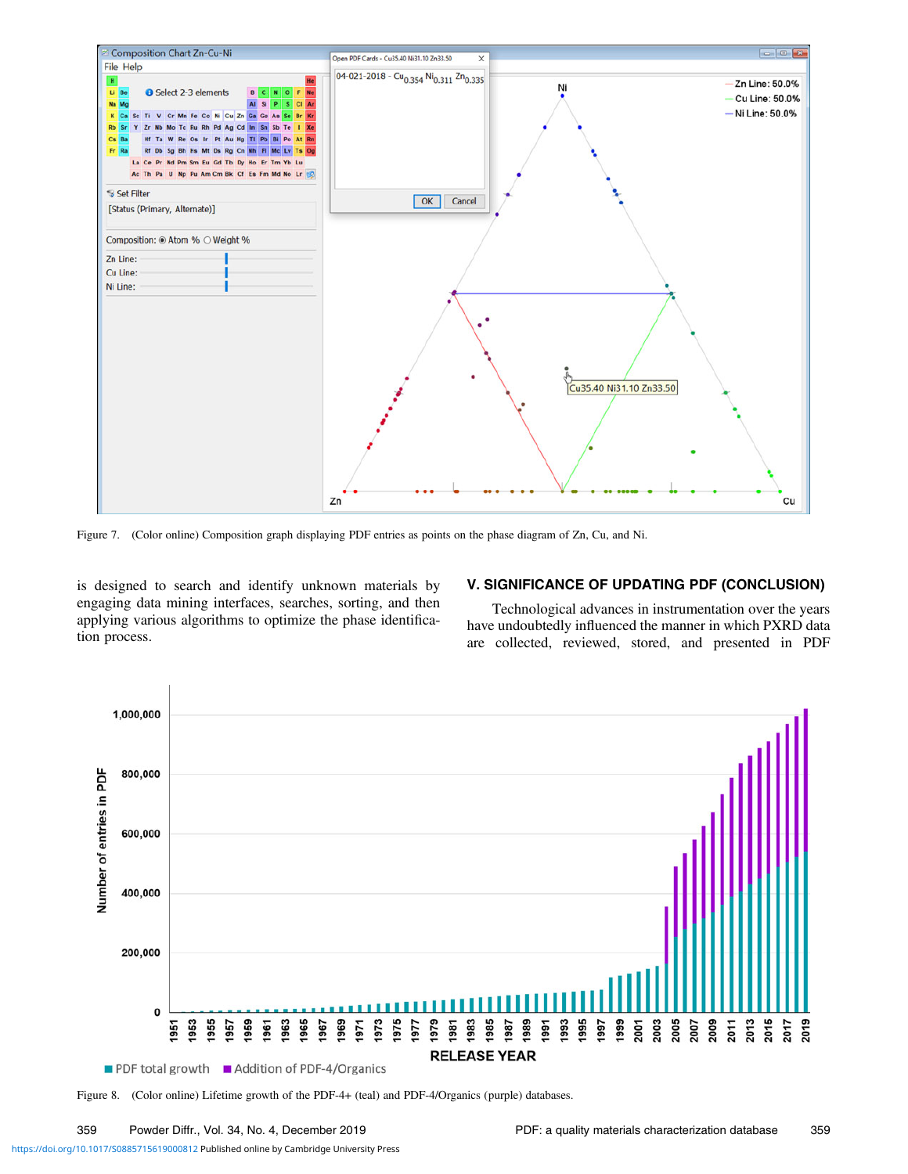<span id="page-7-0"></span>

Figure 7. (Color online) Composition graph displaying PDF entries as points on the phase diagram of Zn, Cu, and Ni.

is designed to search and identify unknown materials by engaging data mining interfaces, searches, sorting, and then applying various algorithms to optimize the phase identification process.

## V. SIGNIFICANCE OF UPDATING PDF (CONCLUSION)

Technological advances in instrumentation over the years have undoubtedly influenced the manner in which PXRD data are collected, reviewed, stored, and presented in PDF



Figure 8. (Color online) Lifetime growth of the PDF-4+ (teal) and PDF-4/Organics (purple) databases.